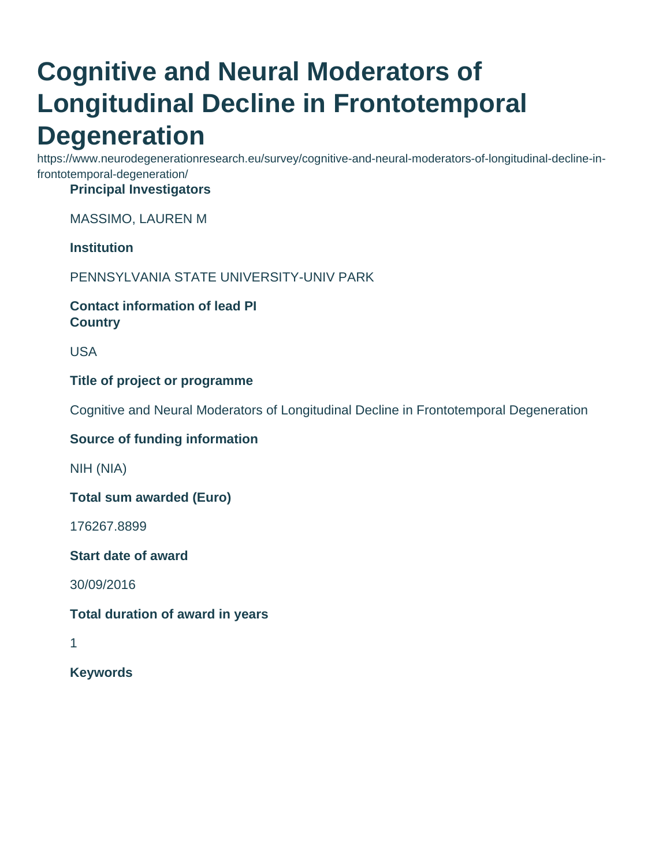# **Cognitive and Neural Moderators of Longitudinal Decline in Frontotemporal Degeneration**

https://www.neurodegenerationresearch.eu/survey/cognitive-and-neural-moderators-of-longitudinal-decline-infrontotemporal-degeneration/

# **Principal Investigators**

MASSIMO, LAUREN M

### **Institution**

PENNSYLVANIA STATE UNIVERSITY-UNIV PARK

### **Contact information of lead PI Country**

USA

### **Title of project or programme**

Cognitive and Neural Moderators of Longitudinal Decline in Frontotemporal Degeneration

#### **Source of funding information**

NIH (NIA)

**Total sum awarded (Euro)**

176267.8899

**Start date of award**

30/09/2016

#### **Total duration of award in years**

1

**Keywords**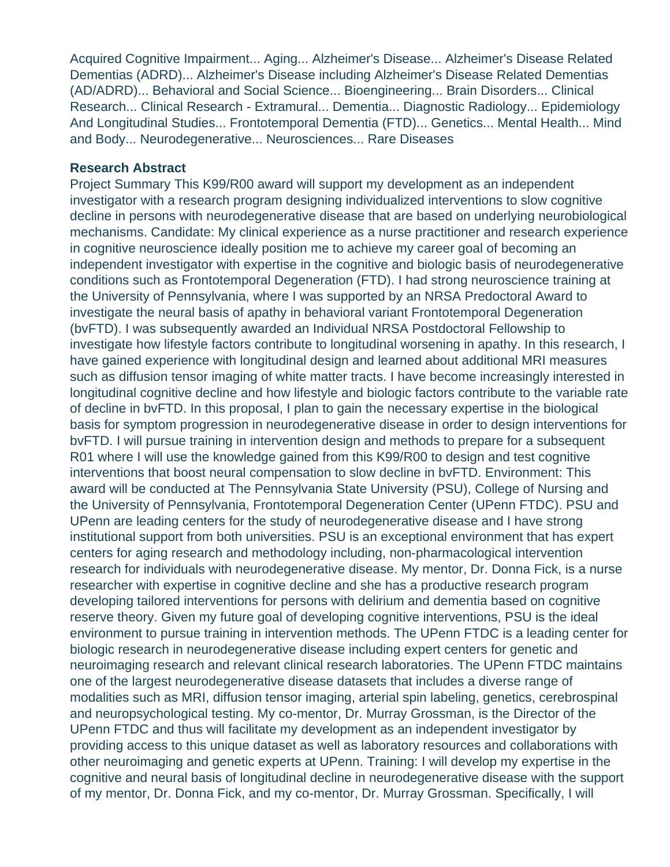Acquired Cognitive Impairment... Aging... Alzheimer's Disease... Alzheimer's Disease Related Dementias (ADRD)... Alzheimer's Disease including Alzheimer's Disease Related Dementias (AD/ADRD)... Behavioral and Social Science... Bioengineering... Brain Disorders... Clinical Research... Clinical Research - Extramural... Dementia... Diagnostic Radiology... Epidemiology And Longitudinal Studies... Frontotemporal Dementia (FTD)... Genetics... Mental Health... Mind and Body... Neurodegenerative... Neurosciences... Rare Diseases

#### **Research Abstract**

Project Summary This K99/R00 award will support my development as an independent investigator with a research program designing individualized interventions to slow cognitive decline in persons with neurodegenerative disease that are based on underlying neurobiological mechanisms. Candidate: My clinical experience as a nurse practitioner and research experience in cognitive neuroscience ideally position me to achieve my career goal of becoming an independent investigator with expertise in the cognitive and biologic basis of neurodegenerative conditions such as Frontotemporal Degeneration (FTD). I had strong neuroscience training at the University of Pennsylvania, where I was supported by an NRSA Predoctoral Award to investigate the neural basis of apathy in behavioral variant Frontotemporal Degeneration (bvFTD). I was subsequently awarded an Individual NRSA Postdoctoral Fellowship to investigate how lifestyle factors contribute to longitudinal worsening in apathy. In this research, I have gained experience with longitudinal design and learned about additional MRI measures such as diffusion tensor imaging of white matter tracts. I have become increasingly interested in longitudinal cognitive decline and how lifestyle and biologic factors contribute to the variable rate of decline in bvFTD. In this proposal, I plan to gain the necessary expertise in the biological basis for symptom progression in neurodegenerative disease in order to design interventions for bvFTD. I will pursue training in intervention design and methods to prepare for a subsequent R01 where I will use the knowledge gained from this K99/R00 to design and test cognitive interventions that boost neural compensation to slow decline in bvFTD. Environment: This award will be conducted at The Pennsylvania State University (PSU), College of Nursing and the University of Pennsylvania, Frontotemporal Degeneration Center (UPenn FTDC). PSU and UPenn are leading centers for the study of neurodegenerative disease and I have strong institutional support from both universities. PSU is an exceptional environment that has expert centers for aging research and methodology including, non-pharmacological intervention research for individuals with neurodegenerative disease. My mentor, Dr. Donna Fick, is a nurse researcher with expertise in cognitive decline and she has a productive research program developing tailored interventions for persons with delirium and dementia based on cognitive reserve theory. Given my future goal of developing cognitive interventions, PSU is the ideal environment to pursue training in intervention methods. The UPenn FTDC is a leading center for biologic research in neurodegenerative disease including expert centers for genetic and neuroimaging research and relevant clinical research laboratories. The UPenn FTDC maintains one of the largest neurodegenerative disease datasets that includes a diverse range of modalities such as MRI, diffusion tensor imaging, arterial spin labeling, genetics, cerebrospinal and neuropsychological testing. My co-mentor, Dr. Murray Grossman, is the Director of the UPenn FTDC and thus will facilitate my development as an independent investigator by providing access to this unique dataset as well as laboratory resources and collaborations with other neuroimaging and genetic experts at UPenn. Training: I will develop my expertise in the cognitive and neural basis of longitudinal decline in neurodegenerative disease with the support of my mentor, Dr. Donna Fick, and my co-mentor, Dr. Murray Grossman. Specifically, I will